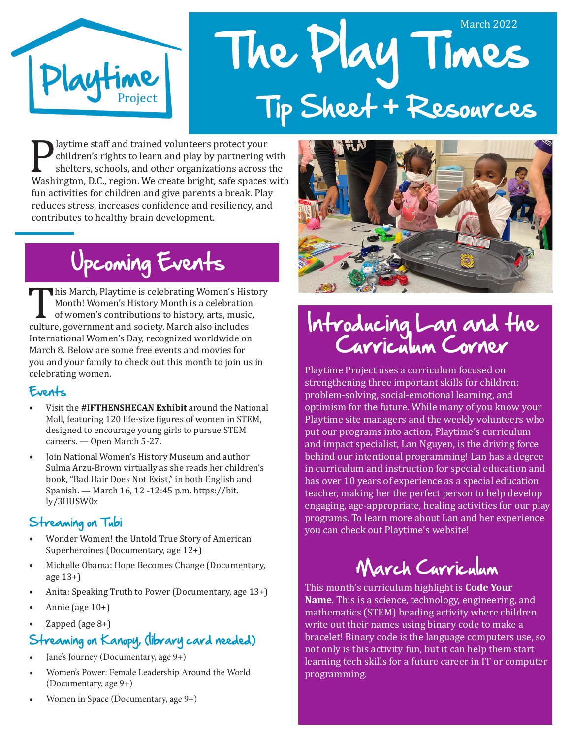

# The Play Times March 2022 Tip Sheet + Resources

**Playtime staff and trained volunteers protect your children's rights to learn and play by partnering with shelters, schools, and other organizations across the Washington, D.C., region. We create bright, safe spaces with** children's rights to learn and play by partnering with shelters, schools, and other organizations across the fun activities for children and give parents a break. Play reduces stress, increases confidence and resiliency, and contributes to healthy brain development.

## Upcoming Events

This March, Playtime is celebrating Women's History<br>
Month! Women's History Month is a celebration<br>
of women's contributions to history, arts, music,<br>
culture, government and society. March also includes<br>
International Mam Month! Women's History Month is a celebration of women's contributions to history, arts, music, International Women's Day, recognized worldwide on March 8. Below are some free events and movies for you and your family to check out this month to join us in celebrating women.

### Events

- Visit the **#IFTHENSHECAN Exhibit** around the National Mall, featuring 120 life-size figures of women in STEM, designed to encourage young girls to pursue STEM careers. — Open March 5-27.
- Join National Women's History Museum and author Sulma Arzu-Brown virtually as she reads her children's book, "Bad Hair Does Not Exist," in both English and Spanish. — March 16, 12 -12:45 p.m. https://bit. ly/3HUSW0z

### Streaming on Tubi

- Wonder Women! the Untold True Story of American Superheroines (Documentary, age 12+)
- Michelle Obama: Hope Becomes Change (Documentary, age 13+)
- Anita: Speaking Truth to Power (Documentary, age 13+)
- Annie (age 10+)
- Zapped (age  $8+$ )

## Streaming on Kanopy, (library card needed)

- Jane's Journey (Documentary, age 9+)
- Women's Power: Female Leadership Around the World (Documentary, age 9+)





## Introducing Lan and the Curriculum Corner

Playtime Project uses a curriculum focused on strengthening three important skills for children: problem-solving, social-emotional learning, and optimism for the future. While many of you know your Playtime site managers and the weekly volunteers who put our programs into action, Playtime's curriculum and impact specialist, Lan Nguyen, is the driving force behind our intentional programming! Lan has a degree in curriculum and instruction for special education and has over 10 years of experience as a special education teacher, making her the perfect person to help develop engaging, age-appropriate, healing activities for our play programs. To learn more about Lan and her experience you can check out Playtime's website!

## March Curriculum

This month's curriculum highlight is **Code Your Name**. This is a science, technology, engineering, and mathematics (STEM) beading activity where children write out their names using binary code to make a bracelet! Binary code is the language computers use, so not only is this activity fun, but it can help them start learning tech skills for a future career in IT or computer programming.